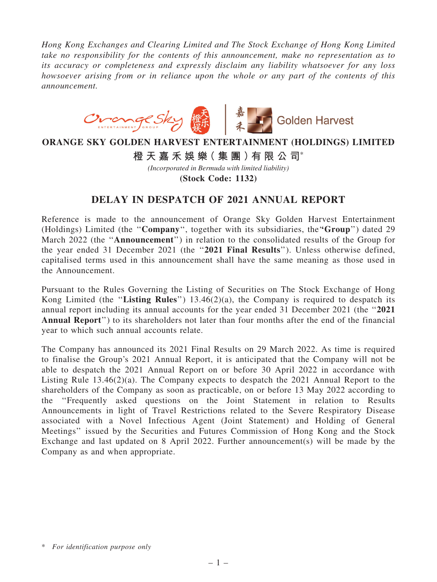*Hong Kong Exchanges and Clearing Limited and The Stock Exchange of Hong Kong Limited take no responsibility for the contents of this announcement, make no representation as to its accuracy or completeness and expressly disclaim any liability whatsoever for any loss howsoever arising from or in reliance upon the whole or any part of the contents of this announcement.*



## **ORANGE SKY GOLDEN HARVEST ENTERTAINMENT (HOLDINGS) LIMITED**

**橙 天 嘉 禾 娛 樂( 集 團 )有 限 公 司**\*

*(Incorporated in Bermuda with limited liability)*

**(Stock Code: 1132)**

## DELAY IN DESPATCH OF 2021 ANNUAL REPORT

Reference is made to the announcement of Orange Sky Golden Harvest Entertainment (Holdings) Limited (the "Company", together with its subsidiaries, the "Group") dated 29 March 2022 (the ''Announcement'') in relation to the consolidated results of the Group for the year ended 31 December 2021 (the "2021 Final Results"). Unless otherwise defined, capitalised terms used in this announcement shall have the same meaning as those used in the Announcement.

Pursuant to the Rules Governing the Listing of Securities on The Stock Exchange of Hong Kong Limited (the "Listing Rules")  $13.46(2)(a)$ , the Company is required to despatch its annual report including its annual accounts for the year ended 31 December 2021 (the ''2021 Annual Report'') to its shareholders not later than four months after the end of the financial year to which such annual accounts relate.

The Company has announced its 2021 Final Results on 29 March 2022. As time is required to finalise the Group's 2021 Annual Report, it is anticipated that the Company will not be able to despatch the 2021 Annual Report on or before 30 April 2022 in accordance with Listing Rule 13.46(2)(a). The Company expects to despatch the 2021 Annual Report to the shareholders of the Company as soon as practicable, on or before 13 May 2022 according to the ''Frequently asked questions on the Joint Statement in relation to Results Announcements in light of Travel Restrictions related to the Severe Respiratory Disease associated with a Novel Infectious Agent (Joint Statement) and Holding of General Meetings'' issued by the Securities and Futures Commission of Hong Kong and the Stock Exchange and last updated on 8 April 2022. Further announcement(s) will be made by the Company as and when appropriate.

<sup>\*</sup> *For identification purpose only*